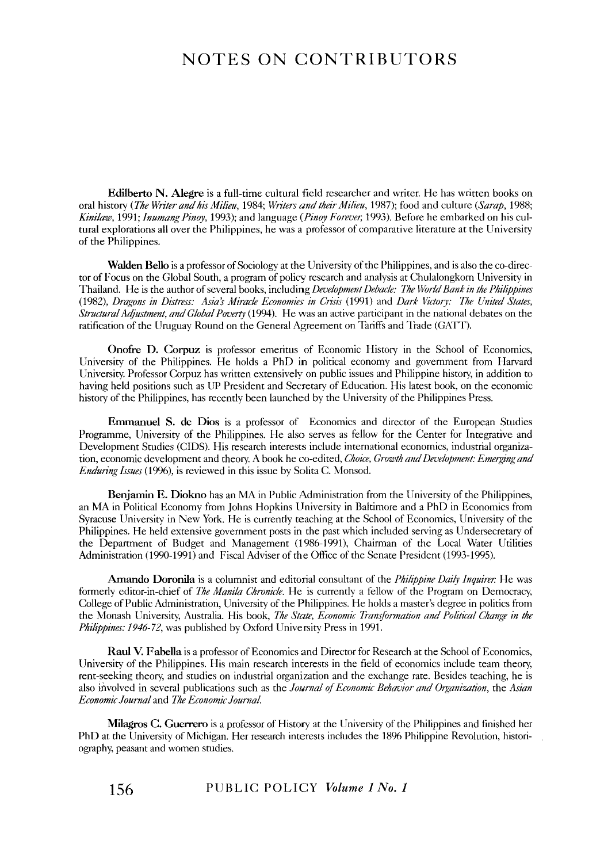## NOTES ON CONTRIBUTORS

Edilberto N. Alegre is a full-time cultural field researcher and writer. He has written books on oral history *(The Writer and his Milieu,* 1984; *Writers and their Milieu,* 1987); food and culture *(Sarap,* 1988; *Kinilaw,* 1991; *lnumang Pinoy,* 1993); and language *(Pinoy Forever,* 1993). Before he embarked on his cultural explorations all over the Philippines, he was a professor of comparative literature at the University of the Philippines.

Walden Bello is a professor of Sociology at the University of the Philippines, and is also the co-director of Focus on the Global South, a program of policy research and analysis at Chulalongkorn University in Thailand. He is the author of several books, including *Development Debacle: The World Bank in the Philippines*  (1982), *Dragons in Distress: Asia:, Miracle Economies in Crisis* (1991) and *Dark Victory: The United States, Structural Adjustment, and Global Poverty* (1994). He was an active participant in the national debates on the ratification of the Uruguay Round on the General Agreement on Tariffs and 'Hade (GATT).

Onofre D. Corpuz is professor emeritus of Economic History in the School of Economics, University of the Philippines. He holds a PhD in political economy and government from Harvard University. Professor Corpuz has written extensively on public issues and Philippine history, in addition to having held positions such as UP President and Secretary of Education. His latest book, on the economic history of the Philippines, has recently been launched by the University of the Philippines Press.

Emmanuel S. de Dios is a professor of Economics and director of the European Studies Programme, University of the Philippines. He also serves as fellow for the Center for Integrative and Development Studies (CIDS). His research interests include international economics, industrial organization, economic development and theory. A book he co-edited, *Choice, Growth and Development: Emerging and Enduring Issues* (1996), is reviewed in this issue by Solita C. Monsod.

Benjamin E. Diokno has an MA in Public Administration from the University of the Philippines, an MA in Political Economy from Johns Hopkins University in Baltimore and a PhD in Economics from Syracuse University in New York. He is currently teaching at the School of Economics, University of the Philippines. He held extensive government posts in the past which included serving as Undersecretary of the Department of Budget and Management (1986-1991), Chairman of the Local Water Utilities Administration (1990-1991) and Fiscal Adviser of the Office of the Senate President (1993-1995).

Amando Doronila is a columnist and editorial consultant of the *Philippine Daily Inquirer.* He was formerly editor-in-chief of *The Manila Chronicle.* He is currently a fellow of the Program on Democracy, College of Public Administration, University of the Philippines. He holds a master's degree in politics from the Monash University, Australia. His book, *The State, Economic Transformation and Political Change in the Philippines: 1946-72,* was published by Oxford University Press in 1991.

Raul V. Fabella is a professor of Economics and Director for Research at the School of Economics, University of the Philippines. His main research interests in the field of economics include team theory, rent-seeking theory, and studies on industrial organization and the exchange rate. Besides teaching, he is also involved in several publications such as the *Journal of Economic Behavior and Organization*, the *Asian Economic Journal* and *The Economic Journal.* 

Milagros C. Guerrero is a professor of History at the University of the Philippines and finished her PhD at the University of Michigan. Her research interests includes the 1896 Philippine Revolution, historiography, peasant and women studies.

156 PUBLIC POLICY *Volume 1 No.1*